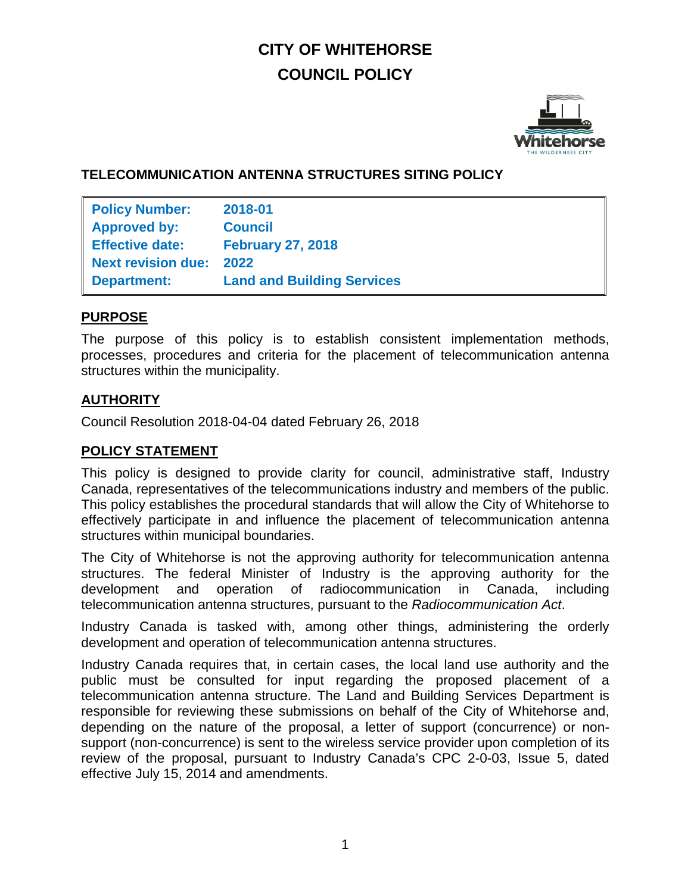# **CITY OF WHITEHORSE COUNCIL POLICY**



# **TELECOMMUNICATION ANTENNA STRUCTURES SITING POLICY**

| <b>Policy Number:</b>     | 2018-01                           |
|---------------------------|-----------------------------------|
| <b>Approved by:</b>       | <b>Council</b>                    |
| <b>Effective date:</b>    | <b>February 27, 2018</b>          |
| <b>Next revision due:</b> | 2022                              |
| <b>Department:</b>        | <b>Land and Building Services</b> |

#### **PURPOSE**

The purpose of this policy is to establish consistent implementation methods, processes, procedures and criteria for the placement of telecommunication antenna structures within the municipality.

# **AUTHORITY**

Council Resolution 2018-04-04 dated February 26, 2018

## **POLICY STATEMENT**

This policy is designed to provide clarity for council, administrative staff, Industry Canada, representatives of the telecommunications industry and members of the public. This policy establishes the procedural standards that will allow the City of Whitehorse to effectively participate in and influence the placement of telecommunication antenna structures within municipal boundaries.

The City of Whitehorse is not the approving authority for telecommunication antenna structures. The federal Minister of Industry is the approving authority for the development and operation of radiocommunication in Canada, including telecommunication antenna structures, pursuant to the *Radiocommunication Act*.

Industry Canada is tasked with, among other things, administering the orderly development and operation of telecommunication antenna structures.

Industry Canada requires that, in certain cases, the local land use authority and the public must be consulted for input regarding the proposed placement of a telecommunication antenna structure. The Land and Building Services Department is responsible for reviewing these submissions on behalf of the City of Whitehorse and, depending on the nature of the proposal, a letter of support (concurrence) or nonsupport (non-concurrence) is sent to the wireless service provider upon completion of its review of the proposal, pursuant to Industry Canada's CPC 2-0-03, Issue 5, dated effective July 15, 2014 and amendments.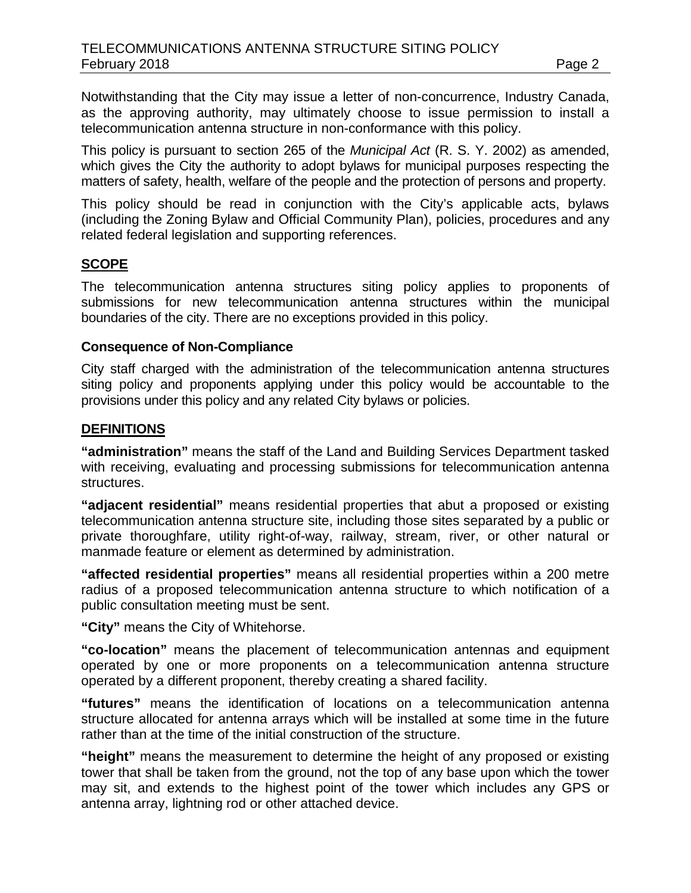Notwithstanding that the City may issue a letter of non-concurrence, Industry Canada, as the approving authority, may ultimately choose to issue permission to install a telecommunication antenna structure in non-conformance with this policy.

This policy is pursuant to section 265 of the *Municipal Act* (R. S. Y. 2002) as amended, which gives the City the authority to adopt bylaws for municipal purposes respecting the matters of safety, health, welfare of the people and the protection of persons and property.

This policy should be read in conjunction with the City's applicable acts, bylaws (including the Zoning Bylaw and Official Community Plan), policies, procedures and any related federal legislation and supporting references.

#### **SCOPE**

The telecommunication antenna structures siting policy applies to proponents of submissions for new telecommunication antenna structures within the municipal boundaries of the city. There are no exceptions provided in this policy.

#### **Consequence of Non-Compliance**

City staff charged with the administration of the telecommunication antenna structures siting policy and proponents applying under this policy would be accountable to the provisions under this policy and any related City bylaws or policies.

#### **DEFINITIONS**

**"administration"** means the staff of the Land and Building Services Department tasked with receiving, evaluating and processing submissions for telecommunication antenna structures.

**"adjacent residential"** means residential properties that abut a proposed or existing telecommunication antenna structure site, including those sites separated by a public or private thoroughfare, utility right-of-way, railway, stream, river, or other natural or manmade feature or element as determined by administration.

**"affected residential properties"** means all residential properties within a 200 metre radius of a proposed telecommunication antenna structure to which notification of a public consultation meeting must be sent.

**"City"** means the City of Whitehorse.

**"co-location"** means the placement of telecommunication antennas and equipment operated by one or more proponents on a telecommunication antenna structure operated by a different proponent, thereby creating a shared facility.

**"futures"** means the identification of locations on a telecommunication antenna structure allocated for antenna arrays which will be installed at some time in the future rather than at the time of the initial construction of the structure.

**"height"** means the measurement to determine the height of any proposed or existing tower that shall be taken from the ground, not the top of any base upon which the tower may sit, and extends to the highest point of the tower which includes any GPS or antenna array, lightning rod or other attached device.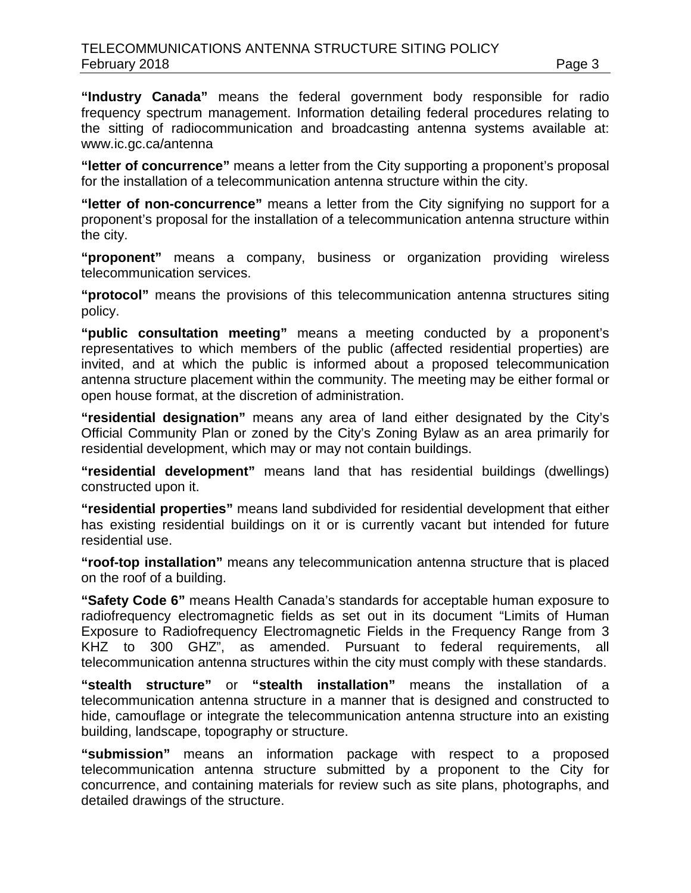**"Industry Canada"** means the federal government body responsible for radio frequency spectrum management. Information detailing federal procedures relating to the sitting of radiocommunication and broadcasting antenna systems available at: www.ic.gc.ca/antenna

**"letter of concurrence"** means a letter from the City supporting a proponent's proposal for the installation of a telecommunication antenna structure within the city.

**"letter of non-concurrence"** means a letter from the City signifying no support for a proponent's proposal for the installation of a telecommunication antenna structure within the city.

**"proponent"** means a company, business or organization providing wireless telecommunication services.

**"protocol"** means the provisions of this telecommunication antenna structures siting policy.

**"public consultation meeting"** means a meeting conducted by a proponent's representatives to which members of the public (affected residential properties) are invited, and at which the public is informed about a proposed telecommunication antenna structure placement within the community. The meeting may be either formal or open house format, at the discretion of administration.

**"residential designation"** means any area of land either designated by the City's Official Community Plan or zoned by the City's Zoning Bylaw as an area primarily for residential development, which may or may not contain buildings.

**"residential development"** means land that has residential buildings (dwellings) constructed upon it.

**"residential properties"** means land subdivided for residential development that either has existing residential buildings on it or is currently vacant but intended for future residential use.

**"roof-top installation"** means any telecommunication antenna structure that is placed on the roof of a building.

**"Safety Code 6"** means Health Canada's standards for acceptable human exposure to radiofrequency electromagnetic fields as set out in its document "Limits of Human Exposure to Radiofrequency Electromagnetic Fields in the Frequency Range from 3 KHZ to 300 GHZ", as amended. Pursuant to federal requirements, all telecommunication antenna structures within the city must comply with these standards.

**"stealth structure"** or **"stealth installation"** means the installation of a telecommunication antenna structure in a manner that is designed and constructed to hide, camouflage or integrate the telecommunication antenna structure into an existing building, landscape, topography or structure.

**"submission"** means an information package with respect to a proposed telecommunication antenna structure submitted by a proponent to the City for concurrence, and containing materials for review such as site plans, photographs, and detailed drawings of the structure.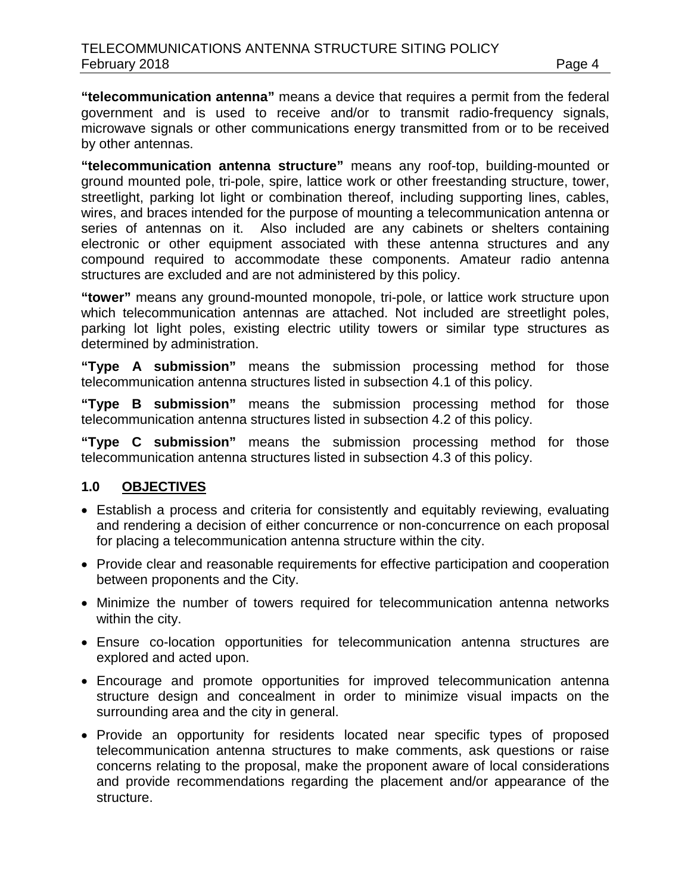**"telecommunication antenna"** means a device that requires a permit from the federal government and is used to receive and/or to transmit radio-frequency signals, microwave signals or other communications energy transmitted from or to be received by other antennas.

**"telecommunication antenna structure"** means any roof-top, building-mounted or ground mounted pole, tri-pole, spire, lattice work or other freestanding structure, tower, streetlight, parking lot light or combination thereof, including supporting lines, cables, wires, and braces intended for the purpose of mounting a telecommunication antenna or series of antennas on it. Also included are any cabinets or shelters containing electronic or other equipment associated with these antenna structures and any compound required to accommodate these components. Amateur radio antenna structures are excluded and are not administered by this policy.

**"tower"** means any ground-mounted monopole, tri-pole, or lattice work structure upon which telecommunication antennas are attached. Not included are streetlight poles, parking lot light poles, existing electric utility towers or similar type structures as determined by administration.

**"Type A submission"** means the submission processing method for those telecommunication antenna structures listed in subsection 4.1 of this policy.

**"Type B submission"** means the submission processing method for those telecommunication antenna structures listed in subsection 4.2 of this policy.

**"Type C submission"** means the submission processing method for those telecommunication antenna structures listed in subsection 4.3 of this policy.

# **1.0 OBJECTIVES**

- Establish a process and criteria for consistently and equitably reviewing, evaluating and rendering a decision of either concurrence or non-concurrence on each proposal for placing a telecommunication antenna structure within the city.
- Provide clear and reasonable requirements for effective participation and cooperation between proponents and the City.
- Minimize the number of towers required for telecommunication antenna networks within the city.
- Ensure co-location opportunities for telecommunication antenna structures are explored and acted upon.
- Encourage and promote opportunities for improved telecommunication antenna structure design and concealment in order to minimize visual impacts on the surrounding area and the city in general.
- Provide an opportunity for residents located near specific types of proposed telecommunication antenna structures to make comments, ask questions or raise concerns relating to the proposal, make the proponent aware of local considerations and provide recommendations regarding the placement and/or appearance of the structure.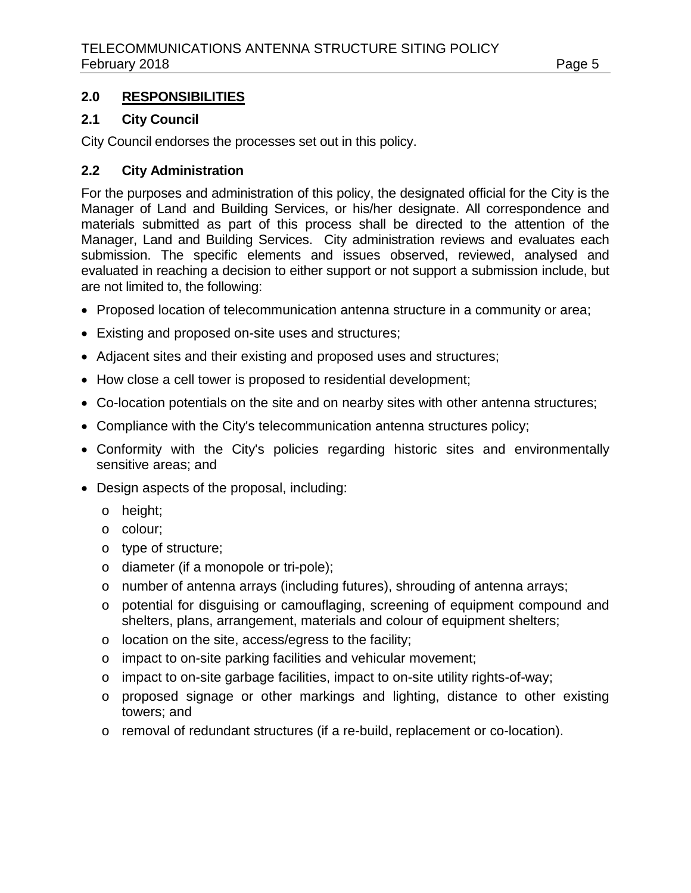# **2.0 RESPONSIBILITIES**

#### **2.1 City Council**

City Council endorses the processes set out in this policy.

## **2.2 City Administration**

For the purposes and administration of this policy, the designated official for the City is the Manager of Land and Building Services, or his/her designate. All correspondence and materials submitted as part of this process shall be directed to the attention of the Manager, Land and Building Services. City administration reviews and evaluates each submission. The specific elements and issues observed, reviewed, analysed and evaluated in reaching a decision to either support or not support a submission include, but are not limited to, the following:

- Proposed location of telecommunication antenna structure in a community or area;
- Existing and proposed on-site uses and structures;
- Adjacent sites and their existing and proposed uses and structures;
- How close a cell tower is proposed to residential development;
- Co-location potentials on the site and on nearby sites with other antenna structures;
- Compliance with the City's telecommunication antenna structures policy;
- Conformity with the City's policies regarding historic sites and environmentally sensitive areas; and
- Design aspects of the proposal, including:
	- o height;
	- o colour;
	- o type of structure;
	- o diameter (if a monopole or tri-pole);
	- $\circ$  number of antenna arrays (including futures), shrouding of antenna arrays;
	- o potential for disguising or camouflaging, screening of equipment compound and shelters, plans, arrangement, materials and colour of equipment shelters;
	- o location on the site, access/egress to the facility;
	- o impact to on-site parking facilities and vehicular movement;
	- o impact to on-site garbage facilities, impact to on-site utility rights-of-way;
	- o proposed signage or other markings and lighting, distance to other existing towers; and
	- o removal of redundant structures (if a re-build, replacement or co-location).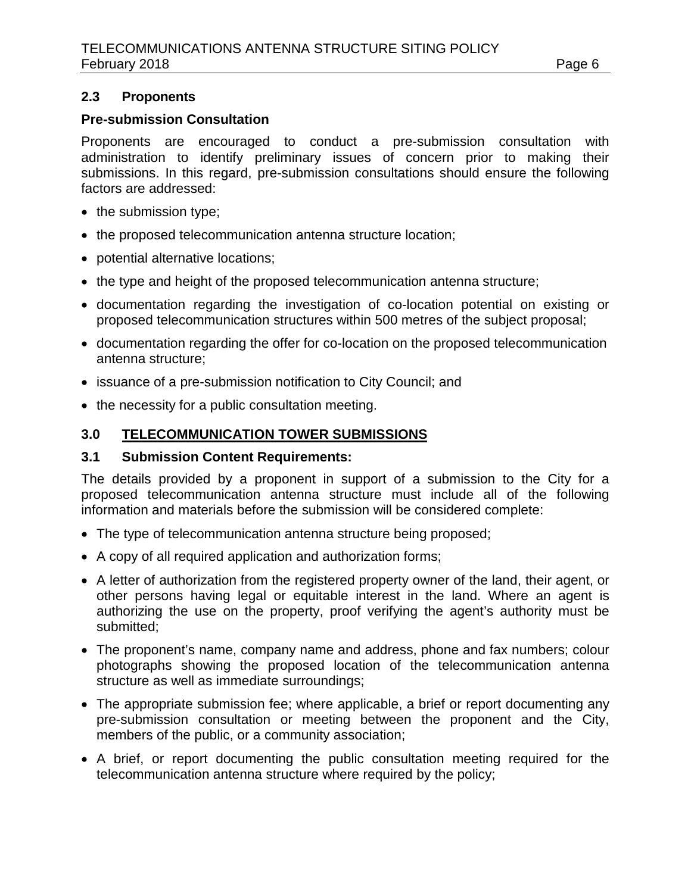### **2.3 Proponents**

### **Pre-submission Consultation**

Proponents are encouraged to conduct a pre-submission consultation with administration to identify preliminary issues of concern prior to making their submissions. In this regard, pre-submission consultations should ensure the following factors are addressed:

- the submission type;
- the proposed telecommunication antenna structure location;
- potential alternative locations;
- the type and height of the proposed telecommunication antenna structure;
- documentation regarding the investigation of co-location potential on existing or proposed telecommunication structures within 500 metres of the subject proposal;
- documentation regarding the offer for co-location on the proposed telecommunication antenna structure;
- issuance of a pre-submission notification to City Council; and
- the necessity for a public consultation meeting.

#### **3.0 TELECOMMUNICATION TOWER SUBMISSIONS**

#### **3.1 Submission Content Requirements:**

The details provided by a proponent in support of a submission to the City for a proposed telecommunication antenna structure must include all of the following information and materials before the submission will be considered complete:

- The type of telecommunication antenna structure being proposed;
- A copy of all required application and authorization forms;
- A letter of authorization from the registered property owner of the land, their agent, or other persons having legal or equitable interest in the land. Where an agent is authorizing the use on the property, proof verifying the agent's authority must be submitted;
- The proponent's name, company name and address, phone and fax numbers; colour photographs showing the proposed location of the telecommunication antenna structure as well as immediate surroundings;
- The appropriate submission fee; where applicable, a brief or report documenting any pre-submission consultation or meeting between the proponent and the City, members of the public, or a community association;
- A brief, or report documenting the public consultation meeting required for the telecommunication antenna structure where required by the policy;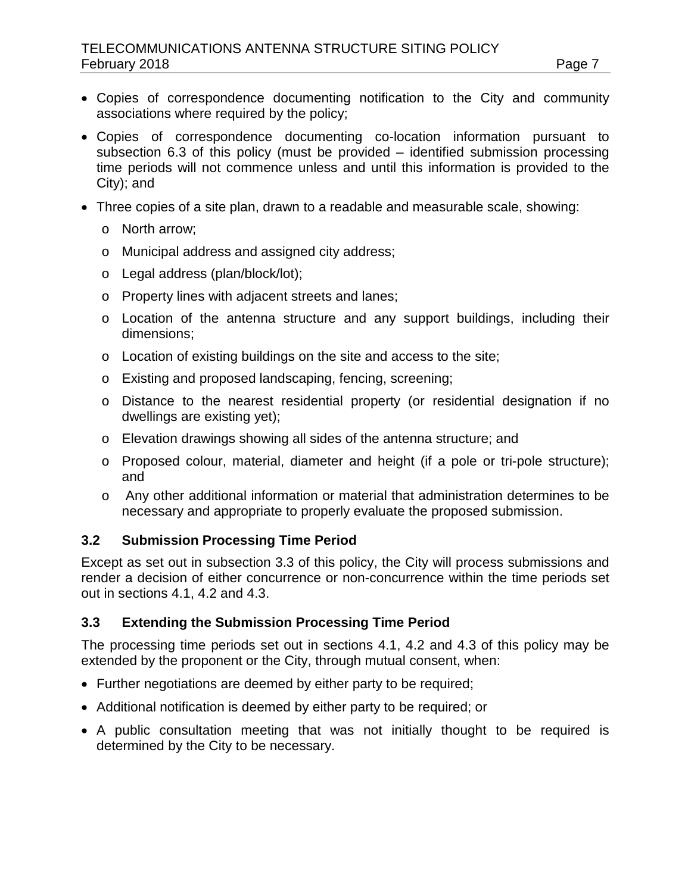- Copies of correspondence documenting notification to the City and community associations where required by the policy;
- Copies of correspondence documenting co-location information pursuant to subsection 6.3 of this policy (must be provided – identified submission processing time periods will not commence unless and until this information is provided to the City); and
- Three copies of a site plan, drawn to a readable and measurable scale, showing:
	- o North arrow;
	- o Municipal address and assigned city address;
	- o Legal address (plan/block/lot);
	- o Property lines with adjacent streets and lanes;
	- o Location of the antenna structure and any support buildings, including their dimensions;
	- o Location of existing buildings on the site and access to the site;
	- o Existing and proposed landscaping, fencing, screening;
	- o Distance to the nearest residential property (or residential designation if no dwellings are existing yet);
	- o Elevation drawings showing all sides of the antenna structure; and
	- o Proposed colour, material, diameter and height (if a pole or tri-pole structure); and
	- o Any other additional information or material that administration determines to be necessary and appropriate to properly evaluate the proposed submission.

# **3.2 Submission Processing Time Period**

Except as set out in subsection 3.3 of this policy, the City will process submissions and render a decision of either concurrence or non-concurrence within the time periods set out in sections 4.1, 4.2 and 4.3.

# **3.3 Extending the Submission Processing Time Period**

The processing time periods set out in sections 4.1, 4.2 and 4.3 of this policy may be extended by the proponent or the City, through mutual consent, when:

- Further negotiations are deemed by either party to be required;
- Additional notification is deemed by either party to be required; or
- A public consultation meeting that was not initially thought to be required is determined by the City to be necessary.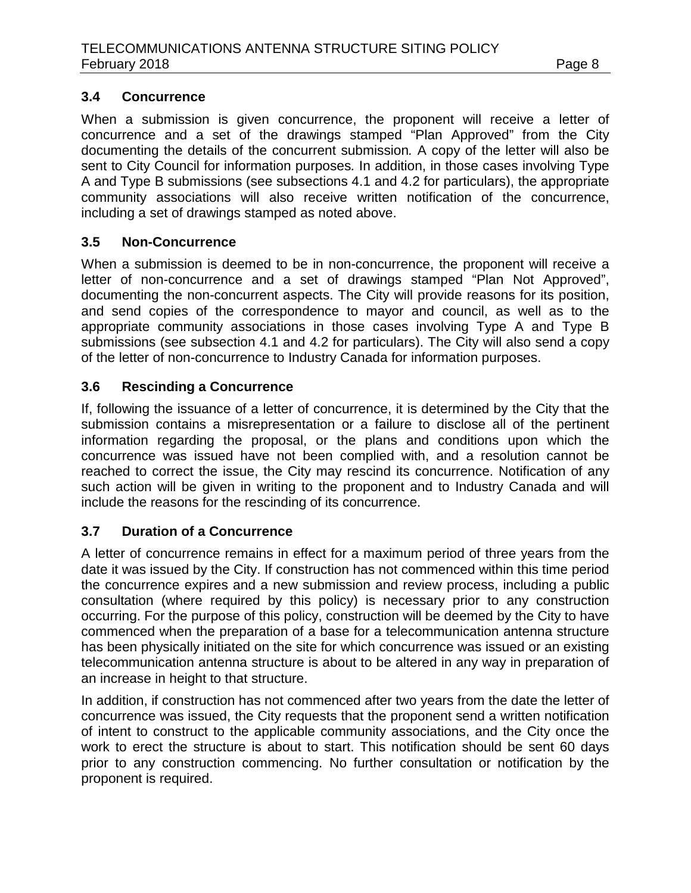## **3.4 Concurrence**

When a submission is given concurrence, the proponent will receive a letter of concurrence and a set of the drawings stamped "Plan Approved" from the City documenting the details of the concurrent submission*.* A copy of the letter will also be sent to City Council for information purposes*.* In addition, in those cases involving Type A and Type B submissions (see subsections 4.1 and 4.2 for particulars), the appropriate community associations will also receive written notification of the concurrence, including a set of drawings stamped as noted above.

# **3.5 Non-Concurrence**

When a submission is deemed to be in non-concurrence, the proponent will receive a letter of non-concurrence and a set of drawings stamped "Plan Not Approved", documenting the non-concurrent aspects. The City will provide reasons for its position, and send copies of the correspondence to mayor and council, as well as to the appropriate community associations in those cases involving Type A and Type B submissions (see subsection 4.1 and 4.2 for particulars). The City will also send a copy of the letter of non-concurrence to Industry Canada for information purposes.

# **3.6 Rescinding a Concurrence**

If, following the issuance of a letter of concurrence, it is determined by the City that the submission contains a misrepresentation or a failure to disclose all of the pertinent information regarding the proposal, or the plans and conditions upon which the concurrence was issued have not been complied with, and a resolution cannot be reached to correct the issue, the City may rescind its concurrence. Notification of any such action will be given in writing to the proponent and to Industry Canada and will include the reasons for the rescinding of its concurrence.

# **3.7 Duration of a Concurrence**

A letter of concurrence remains in effect for a maximum period of three years from the date it was issued by the City. If construction has not commenced within this time period the concurrence expires and a new submission and review process, including a public consultation (where required by this policy) is necessary prior to any construction occurring. For the purpose of this policy, construction will be deemed by the City to have commenced when the preparation of a base for a telecommunication antenna structure has been physically initiated on the site for which concurrence was issued or an existing telecommunication antenna structure is about to be altered in any way in preparation of an increase in height to that structure.

In addition, if construction has not commenced after two years from the date the letter of concurrence was issued, the City requests that the proponent send a written notification of intent to construct to the applicable community associations, and the City once the work to erect the structure is about to start. This notification should be sent 60 days prior to any construction commencing. No further consultation or notification by the proponent is required.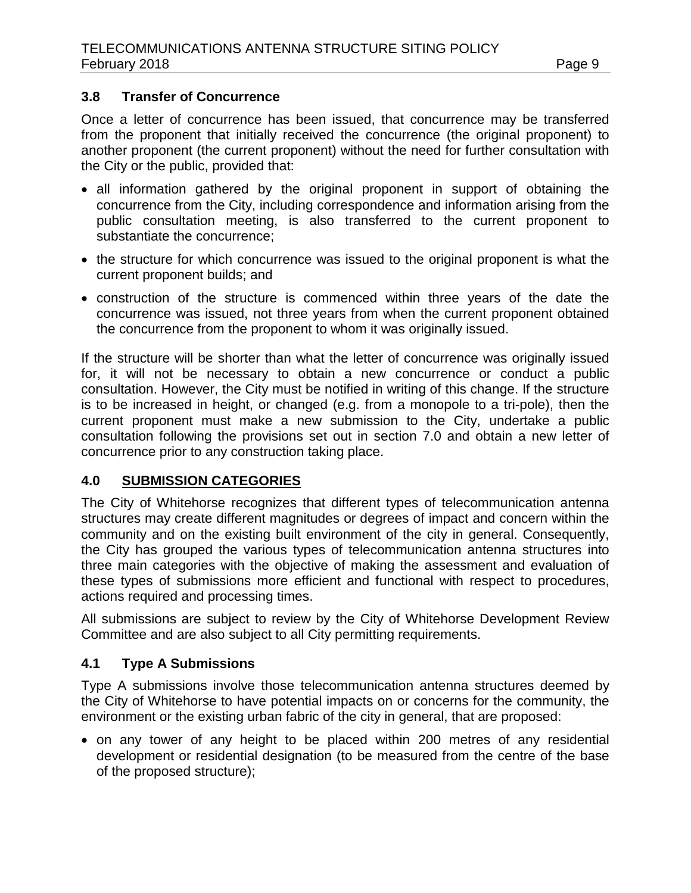### **3.8 Transfer of Concurrence**

Once a letter of concurrence has been issued, that concurrence may be transferred from the proponent that initially received the concurrence (the original proponent) to another proponent (the current proponent) without the need for further consultation with the City or the public, provided that:

- all information gathered by the original proponent in support of obtaining the concurrence from the City, including correspondence and information arising from the public consultation meeting, is also transferred to the current proponent to substantiate the concurrence;
- the structure for which concurrence was issued to the original proponent is what the current proponent builds; and
- construction of the structure is commenced within three years of the date the concurrence was issued, not three years from when the current proponent obtained the concurrence from the proponent to whom it was originally issued.

If the structure will be shorter than what the letter of concurrence was originally issued for, it will not be necessary to obtain a new concurrence or conduct a public consultation. However, the City must be notified in writing of this change. If the structure is to be increased in height, or changed (e.g. from a monopole to a tri-pole), then the current proponent must make a new submission to the City, undertake a public consultation following the provisions set out in section 7.0 and obtain a new letter of concurrence prior to any construction taking place.

#### **4.0 SUBMISSION CATEGORIES**

The City of Whitehorse recognizes that different types of telecommunication antenna structures may create different magnitudes or degrees of impact and concern within the community and on the existing built environment of the city in general. Consequently, the City has grouped the various types of telecommunication antenna structures into three main categories with the objective of making the assessment and evaluation of these types of submissions more efficient and functional with respect to procedures, actions required and processing times.

All submissions are subject to review by the City of Whitehorse Development Review Committee and are also subject to all City permitting requirements.

# **4.1 Type A Submissions**

Type A submissions involve those telecommunication antenna structures deemed by the City of Whitehorse to have potential impacts on or concerns for the community, the environment or the existing urban fabric of the city in general, that are proposed:

• on any tower of any height to be placed within 200 metres of any residential development or residential designation (to be measured from the centre of the base of the proposed structure);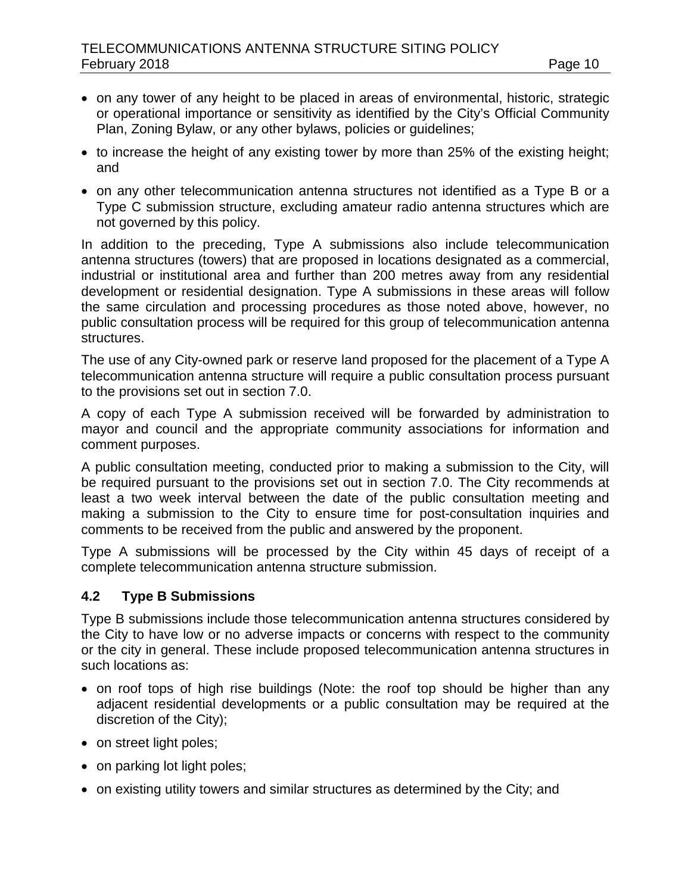- on any tower of any height to be placed in areas of environmental, historic, strategic or operational importance or sensitivity as identified by the City's Official Community Plan, Zoning Bylaw, or any other bylaws, policies or guidelines;
- to increase the height of any existing tower by more than 25% of the existing height; and
- on any other telecommunication antenna structures not identified as a Type B or a Type C submission structure, excluding amateur radio antenna structures which are not governed by this policy.

In addition to the preceding, Type A submissions also include telecommunication antenna structures (towers) that are proposed in locations designated as a commercial, industrial or institutional area and further than 200 metres away from any residential development or residential designation. Type A submissions in these areas will follow the same circulation and processing procedures as those noted above, however, no public consultation process will be required for this group of telecommunication antenna structures.

The use of any City-owned park or reserve land proposed for the placement of a Type A telecommunication antenna structure will require a public consultation process pursuant to the provisions set out in section 7.0.

A copy of each Type A submission received will be forwarded by administration to mayor and council and the appropriate community associations for information and comment purposes.

A public consultation meeting, conducted prior to making a submission to the City, will be required pursuant to the provisions set out in section 7.0. The City recommends at least a two week interval between the date of the public consultation meeting and making a submission to the City to ensure time for post-consultation inquiries and comments to be received from the public and answered by the proponent.

Type A submissions will be processed by the City within 45 days of receipt of a complete telecommunication antenna structure submission.

#### **4.2 Type B Submissions**

Type B submissions include those telecommunication antenna structures considered by the City to have low or no adverse impacts or concerns with respect to the community or the city in general. These include proposed telecommunication antenna structures in such locations as:

- on roof tops of high rise buildings (Note: the roof top should be higher than any adjacent residential developments or a public consultation may be required at the discretion of the City);
- on street light poles;
- on parking lot light poles;
- on existing utility towers and similar structures as determined by the City; and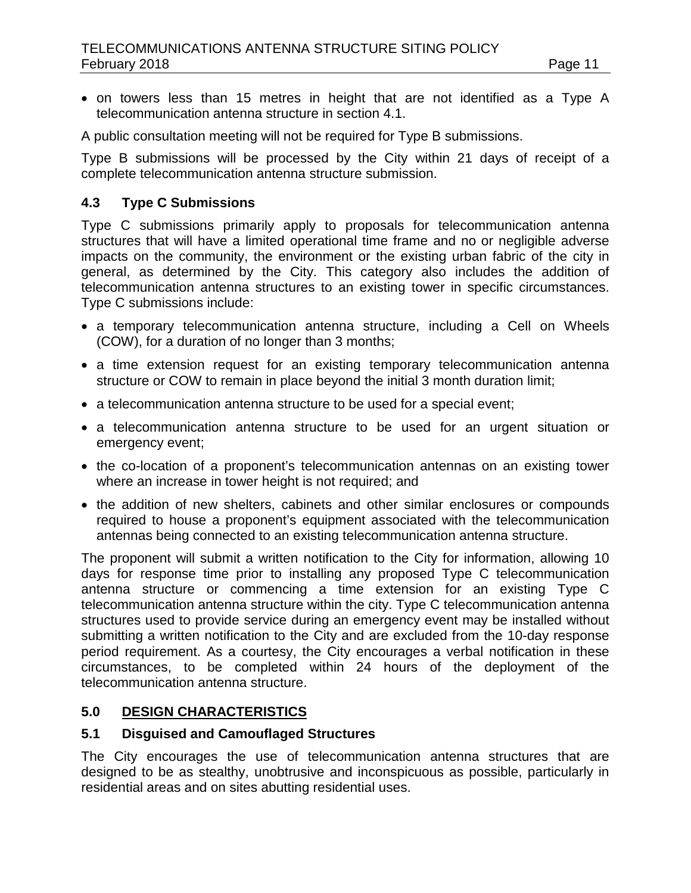• on towers less than 15 metres in height that are not identified as a Type A telecommunication antenna structure in section 4.1.

A public consultation meeting will not be required for Type B submissions.

Type B submissions will be processed by the City within 21 days of receipt of a complete telecommunication antenna structure submission.

# **4.3 Type C Submissions**

Type C submissions primarily apply to proposals for telecommunication antenna structures that will have a limited operational time frame and no or negligible adverse impacts on the community, the environment or the existing urban fabric of the city in general, as determined by the City. This category also includes the addition of telecommunication antenna structures to an existing tower in specific circumstances. Type C submissions include:

- a temporary telecommunication antenna structure, including a Cell on Wheels (COW), for a duration of no longer than 3 months;
- a time extension request for an existing temporary telecommunication antenna structure or COW to remain in place beyond the initial 3 month duration limit;
- a telecommunication antenna structure to be used for a special event;
- a telecommunication antenna structure to be used for an urgent situation or emergency event;
- the co-location of a proponent's telecommunication antennas on an existing tower where an increase in tower height is not required; and
- the addition of new shelters, cabinets and other similar enclosures or compounds required to house a proponent's equipment associated with the telecommunication antennas being connected to an existing telecommunication antenna structure.

The proponent will submit a written notification to the City for information, allowing 10 days for response time prior to installing any proposed Type C telecommunication antenna structure or commencing a time extension for an existing Type C telecommunication antenna structure within the city. Type C telecommunication antenna structures used to provide service during an emergency event may be installed without submitting a written notification to the City and are excluded from the 10-day response period requirement. As a courtesy, the City encourages a verbal notification in these circumstances, to be completed within 24 hours of the deployment of the telecommunication antenna structure.

# **5.0 DESIGN CHARACTERISTICS**

# **5.1 Disguised and Camouflaged Structures**

The City encourages the use of telecommunication antenna structures that are designed to be as stealthy, unobtrusive and inconspicuous as possible, particularly in residential areas and on sites abutting residential uses.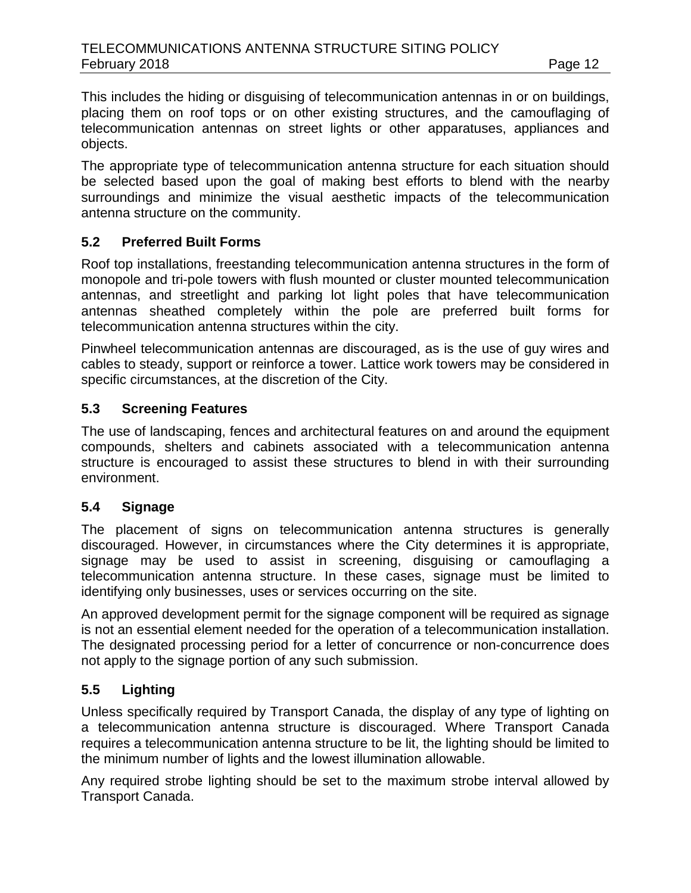This includes the hiding or disguising of telecommunication antennas in or on buildings, placing them on roof tops or on other existing structures, and the camouflaging of telecommunication antennas on street lights or other apparatuses, appliances and objects.

The appropriate type of telecommunication antenna structure for each situation should be selected based upon the goal of making best efforts to blend with the nearby surroundings and minimize the visual aesthetic impacts of the telecommunication antenna structure on the community.

# **5.2 Preferred Built Forms**

Roof top installations, freestanding telecommunication antenna structures in the form of monopole and tri-pole towers with flush mounted or cluster mounted telecommunication antennas, and streetlight and parking lot light poles that have telecommunication antennas sheathed completely within the pole are preferred built forms for telecommunication antenna structures within the city.

Pinwheel telecommunication antennas are discouraged, as is the use of guy wires and cables to steady, support or reinforce a tower. Lattice work towers may be considered in specific circumstances, at the discretion of the City.

# **5.3 Screening Features**

The use of landscaping, fences and architectural features on and around the equipment compounds, shelters and cabinets associated with a telecommunication antenna structure is encouraged to assist these structures to blend in with their surrounding environment.

#### **5.4 Signage**

The placement of signs on telecommunication antenna structures is generally discouraged. However, in circumstances where the City determines it is appropriate, signage may be used to assist in screening, disguising or camouflaging a telecommunication antenna structure. In these cases, signage must be limited to identifying only businesses, uses or services occurring on the site.

An approved development permit for the signage component will be required as signage is not an essential element needed for the operation of a telecommunication installation. The designated processing period for a letter of concurrence or non-concurrence does not apply to the signage portion of any such submission.

# **5.5 Lighting**

Unless specifically required by Transport Canada, the display of any type of lighting on a telecommunication antenna structure is discouraged. Where Transport Canada requires a telecommunication antenna structure to be lit, the lighting should be limited to the minimum number of lights and the lowest illumination allowable.

Any required strobe lighting should be set to the maximum strobe interval allowed by Transport Canada.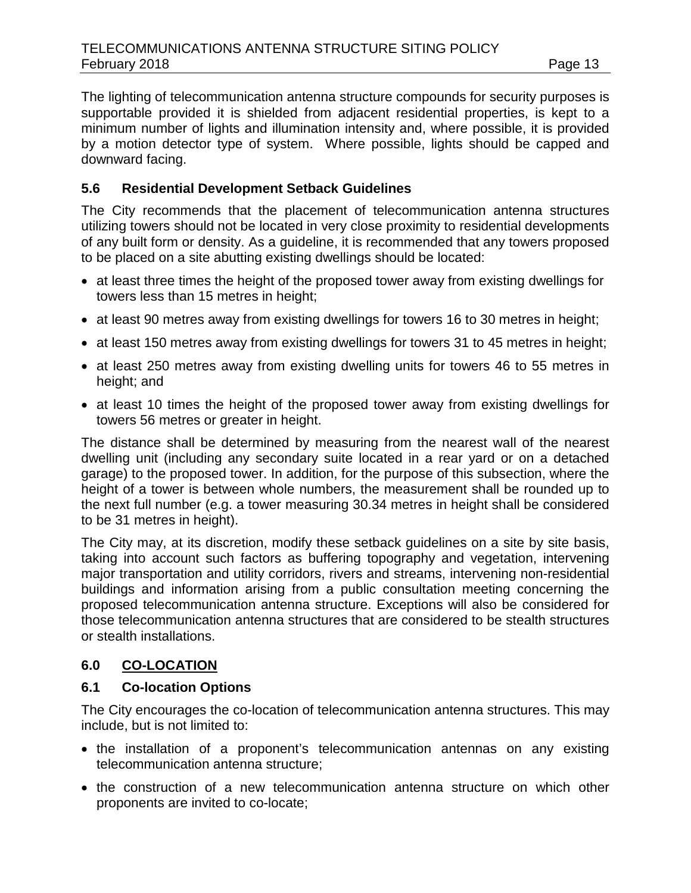The lighting of telecommunication antenna structure compounds for security purposes is supportable provided it is shielded from adjacent residential properties, is kept to a minimum number of lights and illumination intensity and, where possible, it is provided by a motion detector type of system. Where possible, lights should be capped and downward facing.

## **5.6 Residential Development Setback Guidelines**

The City recommends that the placement of telecommunication antenna structures utilizing towers should not be located in very close proximity to residential developments of any built form or density. As a guideline, it is recommended that any towers proposed to be placed on a site abutting existing dwellings should be located:

- at least three times the height of the proposed tower away from existing dwellings for towers less than 15 metres in height;
- at least 90 metres away from existing dwellings for towers 16 to 30 metres in height;
- at least 150 metres away from existing dwellings for towers 31 to 45 metres in height;
- at least 250 metres away from existing dwelling units for towers 46 to 55 metres in height; and
- at least 10 times the height of the proposed tower away from existing dwellings for towers 56 metres or greater in height.

The distance shall be determined by measuring from the nearest wall of the nearest dwelling unit (including any secondary suite located in a rear yard or on a detached garage) to the proposed tower. In addition, for the purpose of this subsection, where the height of a tower is between whole numbers, the measurement shall be rounded up to the next full number (e.g. a tower measuring 30.34 metres in height shall be considered to be 31 metres in height).

The City may, at its discretion, modify these setback guidelines on a site by site basis, taking into account such factors as buffering topography and vegetation, intervening major transportation and utility corridors, rivers and streams, intervening non-residential buildings and information arising from a public consultation meeting concerning the proposed telecommunication antenna structure. Exceptions will also be considered for those telecommunication antenna structures that are considered to be stealth structures or stealth installations.

# **6.0 CO-LOCATION**

#### **6.1 Co-location Options**

The City encourages the co-location of telecommunication antenna structures. This may include, but is not limited to:

- the installation of a proponent's telecommunication antennas on any existing telecommunication antenna structure;
- the construction of a new telecommunication antenna structure on which other proponents are invited to co-locate;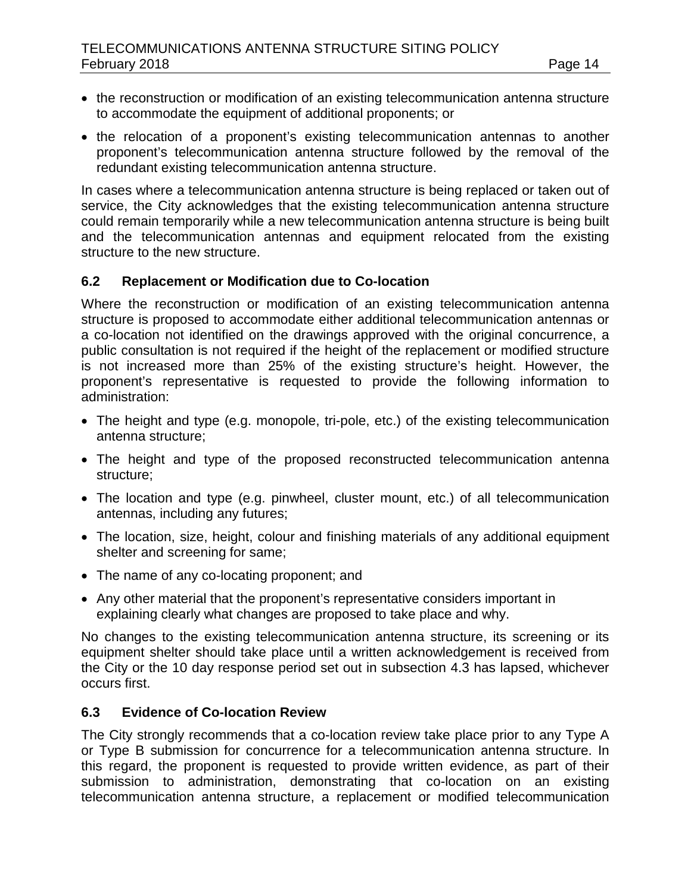- the reconstruction or modification of an existing telecommunication antenna structure to accommodate the equipment of additional proponents; or
- the relocation of a proponent's existing telecommunication antennas to another proponent's telecommunication antenna structure followed by the removal of the redundant existing telecommunication antenna structure.

In cases where a telecommunication antenna structure is being replaced or taken out of service, the City acknowledges that the existing telecommunication antenna structure could remain temporarily while a new telecommunication antenna structure is being built and the telecommunication antennas and equipment relocated from the existing structure to the new structure.

#### **6.2 Replacement or Modification due to Co-location**

Where the reconstruction or modification of an existing telecommunication antenna structure is proposed to accommodate either additional telecommunication antennas or a co-location not identified on the drawings approved with the original concurrence, a public consultation is not required if the height of the replacement or modified structure is not increased more than 25% of the existing structure's height. However, the proponent's representative is requested to provide the following information to administration:

- The height and type (e.g. monopole, tri-pole, etc.) of the existing telecommunication antenna structure;
- The height and type of the proposed reconstructed telecommunication antenna structure;
- The location and type (e.g. pinwheel, cluster mount, etc.) of all telecommunication antennas, including any futures;
- The location, size, height, colour and finishing materials of any additional equipment shelter and screening for same;
- The name of any co-locating proponent; and
- Any other material that the proponent's representative considers important in explaining clearly what changes are proposed to take place and why.

No changes to the existing telecommunication antenna structure, its screening or its equipment shelter should take place until a written acknowledgement is received from the City or the 10 day response period set out in subsection 4.3 has lapsed, whichever occurs first.

#### **6.3 Evidence of Co-location Review**

The City strongly recommends that a co-location review take place prior to any Type A or Type B submission for concurrence for a telecommunication antenna structure. In this regard, the proponent is requested to provide written evidence, as part of their submission to administration, demonstrating that co-location on an existing telecommunication antenna structure, a replacement or modified telecommunication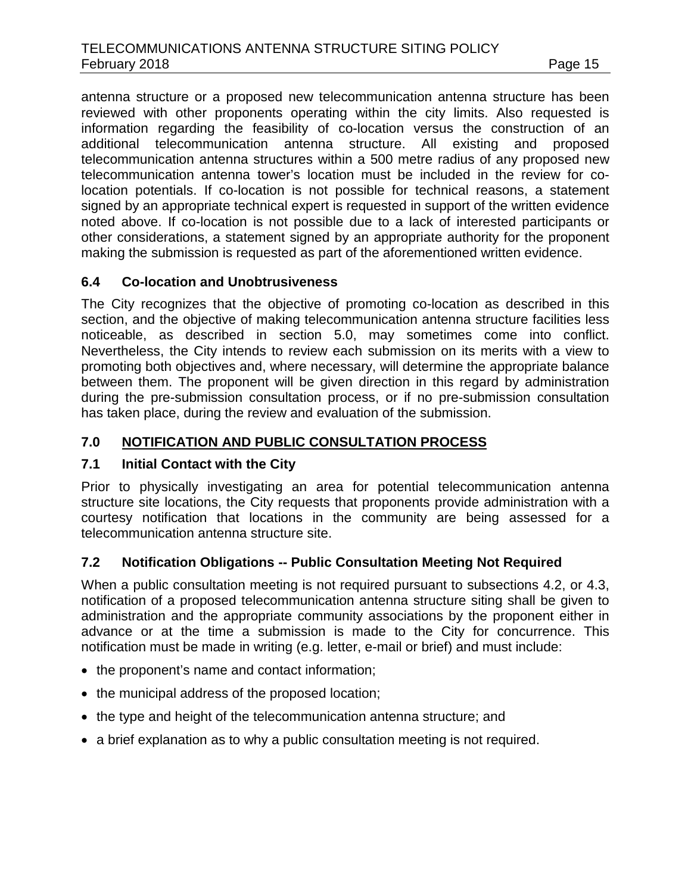antenna structure or a proposed new telecommunication antenna structure has been reviewed with other proponents operating within the city limits. Also requested is information regarding the feasibility of co-location versus the construction of an additional telecommunication antenna structure. All existing and proposed telecommunication antenna structures within a 500 metre radius of any proposed new telecommunication antenna tower's location must be included in the review for colocation potentials. If co-location is not possible for technical reasons, a statement signed by an appropriate technical expert is requested in support of the written evidence noted above. If co-location is not possible due to a lack of interested participants or other considerations, a statement signed by an appropriate authority for the proponent making the submission is requested as part of the aforementioned written evidence.

#### **6.4 Co-location and Unobtrusiveness**

The City recognizes that the objective of promoting co-location as described in this section, and the objective of making telecommunication antenna structure facilities less noticeable, as described in section 5.0, may sometimes come into conflict. Nevertheless, the City intends to review each submission on its merits with a view to promoting both objectives and, where necessary, will determine the appropriate balance between them. The proponent will be given direction in this regard by administration during the pre-submission consultation process, or if no pre-submission consultation has taken place, during the review and evaluation of the submission.

# **7.0 NOTIFICATION AND PUBLIC CONSULTATION PROCESS**

# **7.1 Initial Contact with the City**

Prior to physically investigating an area for potential telecommunication antenna structure site locations, the City requests that proponents provide administration with a courtesy notification that locations in the community are being assessed for a telecommunication antenna structure site.

# **7.2 Notification Obligations -- Public Consultation Meeting Not Required**

When a public consultation meeting is not required pursuant to subsections 4.2, or 4.3, notification of a proposed telecommunication antenna structure siting shall be given to administration and the appropriate community associations by the proponent either in advance or at the time a submission is made to the City for concurrence. This notification must be made in writing (e.g. letter, e-mail or brief) and must include:

- the proponent's name and contact information;
- the municipal address of the proposed location;
- the type and height of the telecommunication antenna structure; and
- a brief explanation as to why a public consultation meeting is not required.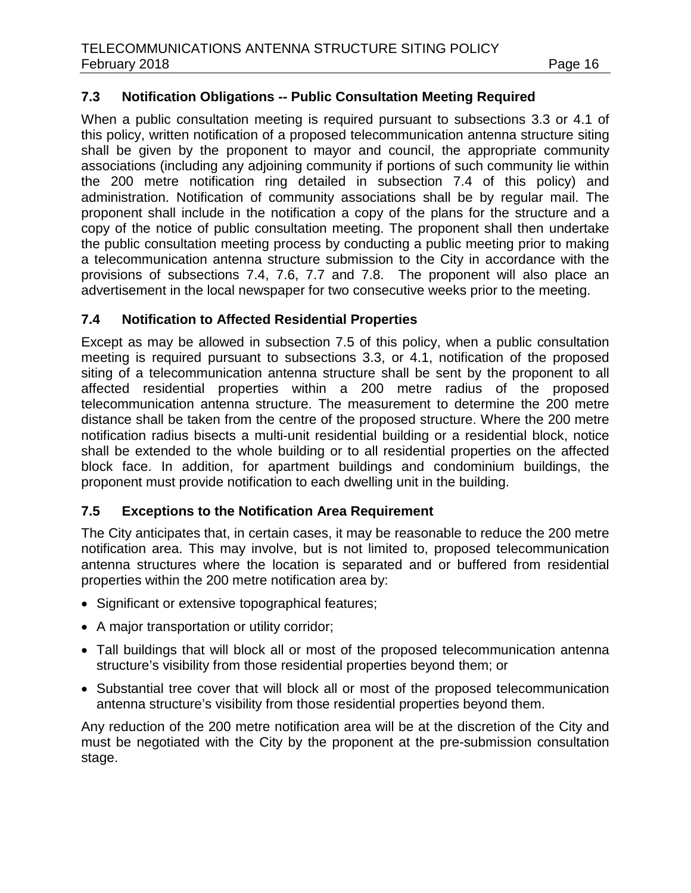# **7.3 Notification Obligations -- Public Consultation Meeting Required**

When a public consultation meeting is required pursuant to subsections 3.3 or 4.1 of this policy, written notification of a proposed telecommunication antenna structure siting shall be given by the proponent to mayor and council, the appropriate community associations (including any adjoining community if portions of such community lie within the 200 metre notification ring detailed in subsection 7.4 of this policy) and administration. Notification of community associations shall be by regular mail. The proponent shall include in the notification a copy of the plans for the structure and a copy of the notice of public consultation meeting. The proponent shall then undertake the public consultation meeting process by conducting a public meeting prior to making a telecommunication antenna structure submission to the City in accordance with the provisions of subsections 7.4, 7.6, 7.7 and 7.8. The proponent will also place an advertisement in the local newspaper for two consecutive weeks prior to the meeting.

# **7.4 Notification to Affected Residential Properties**

Except as may be allowed in subsection 7.5 of this policy, when a public consultation meeting is required pursuant to subsections 3.3, or 4.1, notification of the proposed siting of a telecommunication antenna structure shall be sent by the proponent to all affected residential properties within a 200 metre radius of the proposed telecommunication antenna structure. The measurement to determine the 200 metre distance shall be taken from the centre of the proposed structure. Where the 200 metre notification radius bisects a multi-unit residential building or a residential block, notice shall be extended to the whole building or to all residential properties on the affected block face. In addition, for apartment buildings and condominium buildings, the proponent must provide notification to each dwelling unit in the building.

#### **7.5 Exceptions to the Notification Area Requirement**

The City anticipates that, in certain cases, it may be reasonable to reduce the 200 metre notification area. This may involve, but is not limited to, proposed telecommunication antenna structures where the location is separated and or buffered from residential properties within the 200 metre notification area by:

- Significant or extensive topographical features;
- A major transportation or utility corridor;
- Tall buildings that will block all or most of the proposed telecommunication antenna structure's visibility from those residential properties beyond them; or
- Substantial tree cover that will block all or most of the proposed telecommunication antenna structure's visibility from those residential properties beyond them.

Any reduction of the 200 metre notification area will be at the discretion of the City and must be negotiated with the City by the proponent at the pre-submission consultation stage.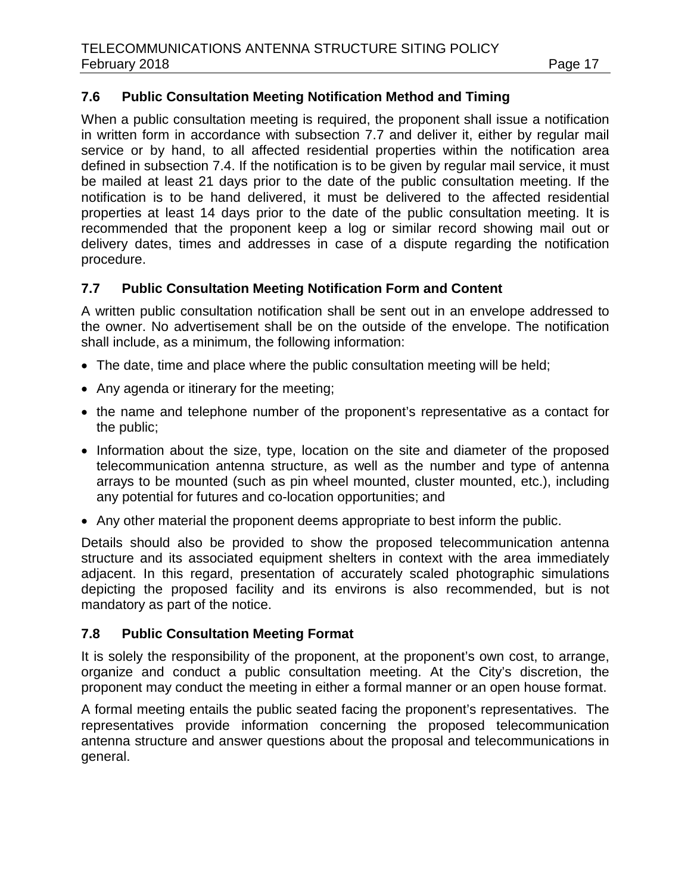# **7.6 Public Consultation Meeting Notification Method and Timing**

When a public consultation meeting is required, the proponent shall issue a notification in written form in accordance with subsection 7.7 and deliver it, either by regular mail service or by hand, to all affected residential properties within the notification area defined in subsection 7.4. If the notification is to be given by regular mail service, it must be mailed at least 21 days prior to the date of the public consultation meeting. If the notification is to be hand delivered, it must be delivered to the affected residential properties at least 14 days prior to the date of the public consultation meeting. It is recommended that the proponent keep a log or similar record showing mail out or delivery dates, times and addresses in case of a dispute regarding the notification procedure.

#### **7.7 Public Consultation Meeting Notification Form and Content**

A written public consultation notification shall be sent out in an envelope addressed to the owner. No advertisement shall be on the outside of the envelope. The notification shall include, as a minimum, the following information:

- The date, time and place where the public consultation meeting will be held;
- Any agenda or itinerary for the meeting;
- the name and telephone number of the proponent's representative as a contact for the public;
- Information about the size, type, location on the site and diameter of the proposed telecommunication antenna structure, as well as the number and type of antenna arrays to be mounted (such as pin wheel mounted, cluster mounted, etc.), including any potential for futures and co-location opportunities; and
- Any other material the proponent deems appropriate to best inform the public.

Details should also be provided to show the proposed telecommunication antenna structure and its associated equipment shelters in context with the area immediately adjacent. In this regard, presentation of accurately scaled photographic simulations depicting the proposed facility and its environs is also recommended, but is not mandatory as part of the notice.

#### **7.8 Public Consultation Meeting Format**

It is solely the responsibility of the proponent, at the proponent's own cost, to arrange, organize and conduct a public consultation meeting. At the City's discretion, the proponent may conduct the meeting in either a formal manner or an open house format.

A formal meeting entails the public seated facing the proponent's representatives. The representatives provide information concerning the proposed telecommunication antenna structure and answer questions about the proposal and telecommunications in general.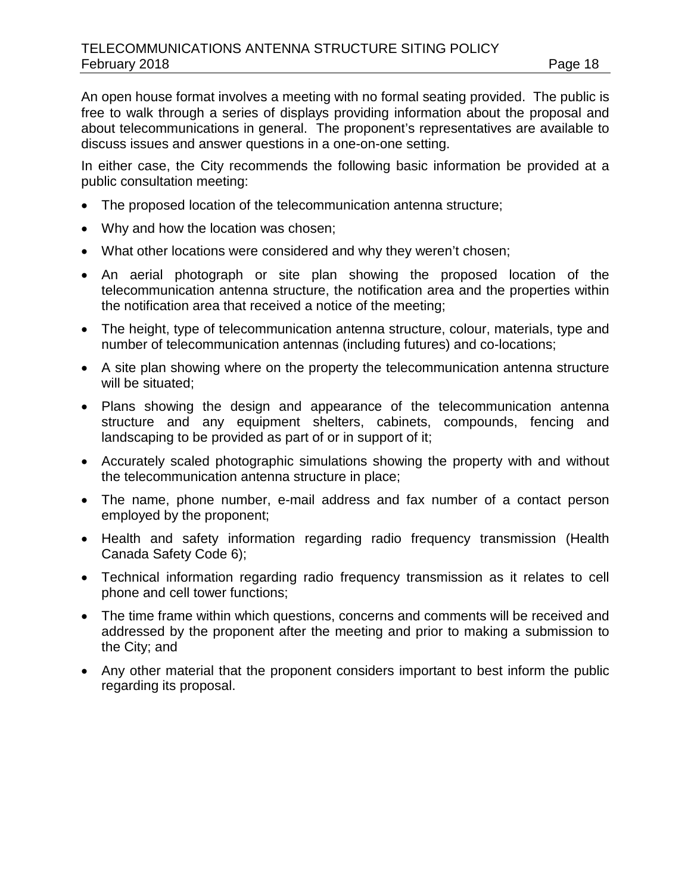An open house format involves a meeting with no formal seating provided. The public is free to walk through a series of displays providing information about the proposal and about telecommunications in general. The proponent's representatives are available to discuss issues and answer questions in a one-on-one setting.

In either case, the City recommends the following basic information be provided at a public consultation meeting:

- The proposed location of the telecommunication antenna structure;
- Why and how the location was chosen;
- What other locations were considered and why they weren't chosen;
- An aerial photograph or site plan showing the proposed location of the telecommunication antenna structure, the notification area and the properties within the notification area that received a notice of the meeting;
- The height, type of telecommunication antenna structure, colour, materials, type and number of telecommunication antennas (including futures) and co-locations;
- A site plan showing where on the property the telecommunication antenna structure will be situated;
- Plans showing the design and appearance of the telecommunication antenna structure and any equipment shelters, cabinets, compounds, fencing and landscaping to be provided as part of or in support of it;
- Accurately scaled photographic simulations showing the property with and without the telecommunication antenna structure in place;
- The name, phone number, e-mail address and fax number of a contact person employed by the proponent;
- Health and safety information regarding radio frequency transmission (Health Canada Safety Code 6);
- Technical information regarding radio frequency transmission as it relates to cell phone and cell tower functions;
- The time frame within which questions, concerns and comments will be received and addressed by the proponent after the meeting and prior to making a submission to the City; and
- Any other material that the proponent considers important to best inform the public regarding its proposal.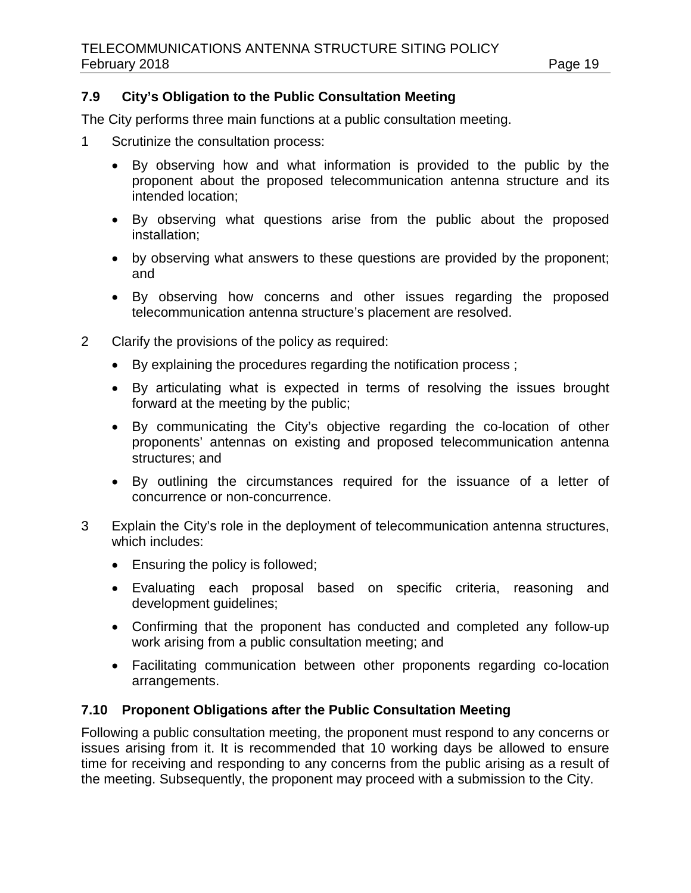# **7.9 City's Obligation to the Public Consultation Meeting**

The City performs three main functions at a public consultation meeting.

- 1 Scrutinize the consultation process:
	- By observing how and what information is provided to the public by the proponent about the proposed telecommunication antenna structure and its intended location;
	- By observing what questions arise from the public about the proposed installation;
	- by observing what answers to these questions are provided by the proponent; and
	- By observing how concerns and other issues regarding the proposed telecommunication antenna structure's placement are resolved.
- 2 Clarify the provisions of the policy as required:
	- By explaining the procedures regarding the notification process ;
	- By articulating what is expected in terms of resolving the issues brought forward at the meeting by the public;
	- By communicating the City's objective regarding the co-location of other proponents' antennas on existing and proposed telecommunication antenna structures; and
	- By outlining the circumstances required for the issuance of a letter of concurrence or non-concurrence.
- 3 Explain the City's role in the deployment of telecommunication antenna structures, which includes:
	- Ensuring the policy is followed;
	- Evaluating each proposal based on specific criteria, reasoning and development guidelines;
	- Confirming that the proponent has conducted and completed any follow-up work arising from a public consultation meeting; and
	- Facilitating communication between other proponents regarding co-location arrangements.

#### **7.10 Proponent Obligations after the Public Consultation Meeting**

Following a public consultation meeting, the proponent must respond to any concerns or issues arising from it. It is recommended that 10 working days be allowed to ensure time for receiving and responding to any concerns from the public arising as a result of the meeting. Subsequently, the proponent may proceed with a submission to the City.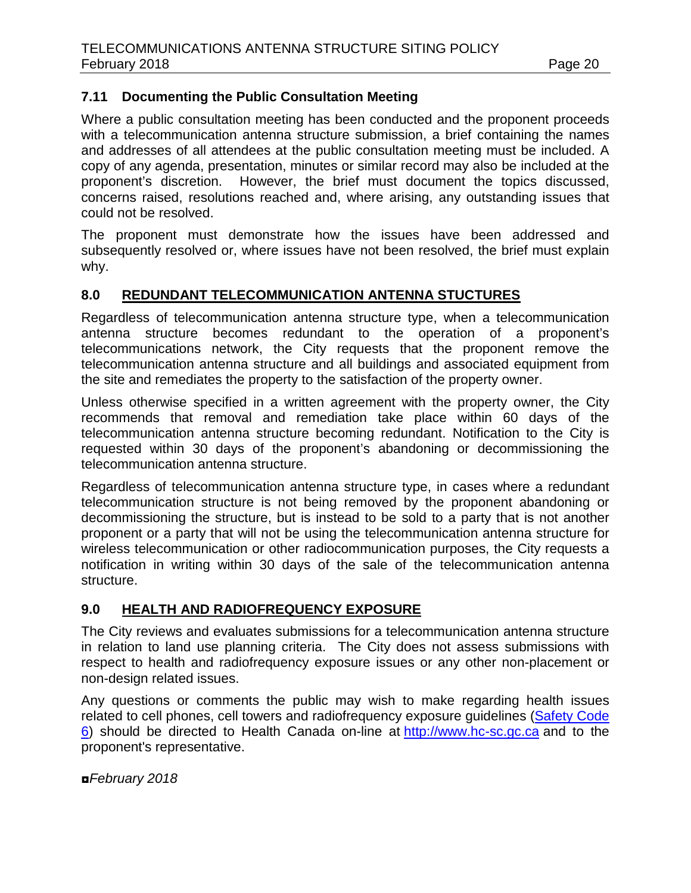# **7.11 Documenting the Public Consultation Meeting**

Where a public consultation meeting has been conducted and the proponent proceeds with a telecommunication antenna structure submission, a brief containing the names and addresses of all attendees at the public consultation meeting must be included. A copy of any agenda, presentation, minutes or similar record may also be included at the proponent's discretion. However, the brief must document the topics discussed, concerns raised, resolutions reached and, where arising, any outstanding issues that could not be resolved.

The proponent must demonstrate how the issues have been addressed and subsequently resolved or, where issues have not been resolved, the brief must explain why.

#### **8.0 REDUNDANT TELECOMMUNICATION ANTENNA STUCTURES**

Regardless of telecommunication antenna structure type, when a telecommunication antenna structure becomes redundant to the operation of a proponent's telecommunications network, the City requests that the proponent remove the telecommunication antenna structure and all buildings and associated equipment from the site and remediates the property to the satisfaction of the property owner.

Unless otherwise specified in a written agreement with the property owner, the City recommends that removal and remediation take place within 60 days of the telecommunication antenna structure becoming redundant. Notification to the City is requested within 30 days of the proponent's abandoning or decommissioning the telecommunication antenna structure.

Regardless of telecommunication antenna structure type, in cases where a redundant telecommunication structure is not being removed by the proponent abandoning or decommissioning the structure, but is instead to be sold to a party that is not another proponent or a party that will not be using the telecommunication antenna structure for wireless telecommunication or other radiocommunication purposes, the City requests a notification in writing within 30 days of the sale of the telecommunication antenna structure.

#### **9.0 HEALTH AND RADIOFREQUENCY EXPOSURE**

The City reviews and evaluates submissions for a telecommunication antenna structure in relation to land use planning criteria. The City does not assess submissions with respect to health and radiofrequency exposure issues or any other non-placement or non-design related issues.

Any questions or comments the public may wish to make regarding health issues related to cell phones, cell towers and radiofrequency exposure guidelines [\(Safety Code](http://www.hc-sc.gc.ca/ewh-semt/pubs/radiation/radio_guide-lignes_direct/index-eng.php)  [6\)](http://www.hc-sc.gc.ca/ewh-semt/pubs/radiation/radio_guide-lignes_direct/index-eng.php) should be directed to Health Canada on-line at [http://www.hc-sc.gc.ca](http://www.hc-sc.gc.ca/) and to the proponent's representative.

*◘February 2018*